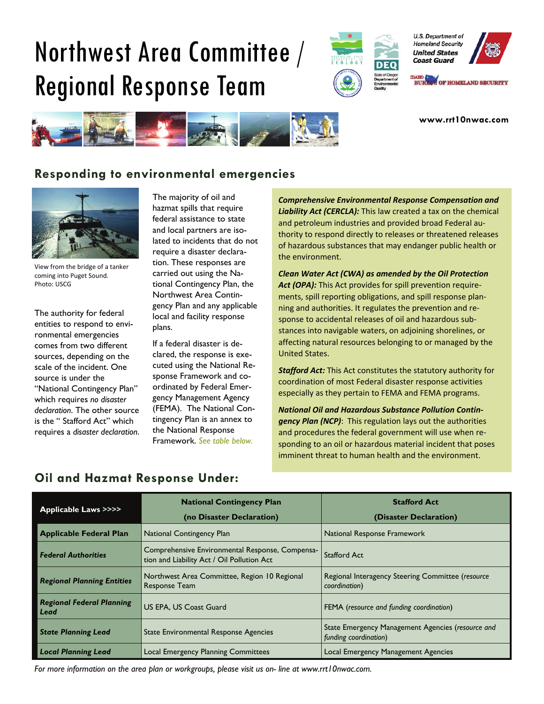# Northwest Area Committee / Regional Response Team



U.S. Department of **Homeland Security United States Coast Guard** 

DAHO **(NATIONAL PROPERTY BUREAU OF HOMELAND SECURITY** 

**www.rrt10nwac.com** 



# **Responding to environmental emergencies**



View from the bridge of a tanker coming into Puget Sound. Photo: USCG

The authority for federal entities to respond to environmental emergencies comes from two different sources, depending on the scale of the incident. One source is under the "National Contingency Plan" which requires *no disaster declaration*. The other source is the " Stafford Act" which requires a *disaster declaration*. The majority of oil and hazmat spills that require federal assistance to state and local partners are isolated to incidents that do not require a disaster declaration. These responses are carried out using the National Contingency Plan, the Northwest Area Contingency Plan and any applicable local and facility response plans.

If a federal disaster is declared, the response is executed using the National Response Framework and coordinated by Federal Emergency Management Agency (FEMA). The National Contingency Plan is an annex to the National Response Framework. *See table below.* 

*Comprehensive Environmental Response Compensation and Liability Act (CERCLA):* This law created a tax on the chemical and petroleum industries and provided broad Federal au‐ thority to respond directly to releases or threatened releases of hazardous substances that may endanger public health or the environment.

*Clean Water Act (CWA) as amended by the Oil Protection Act (OPA):* This Act provides for spill prevention require‐ ments, spill reporting obligations, and spill response plan‐ ning and authorities. It regulates the prevention and re‐ sponse to accidental releases of oil and hazardous sub‐ stances into navigable waters, on adjoining shorelines, or affecting natural resources belonging to or managed by the United States.

*Stafford Act:* This Act constitutes the statutory authority for coordination of most Federal disaster response activities especially as they pertain to FEMA and FEMA programs.

*National Oil and Hazardous Substance Pollution Contin‐ gency Plan (NCP)*: This regulation lays out the authorities and procedures the federal government will use when re‐ sponding to an oil or hazardous material incident that poses imminent threat to human health and the environment.

| <b>Applicable Laws &gt;&gt;&gt;&gt;</b>  | <b>National Contingency Plan</b><br>(no Disaster Declaration)                                 | <b>Stafford Act</b><br>(Disaster Declaration)                              |
|------------------------------------------|-----------------------------------------------------------------------------------------------|----------------------------------------------------------------------------|
| <b>Applicable Federal Plan</b>           | <b>National Contingency Plan</b>                                                              | National Response Framework                                                |
| <b>Federal Authorities</b>               | Comprehensive Environmental Response, Compensa-<br>tion and Liability Act / Oil Pollution Act | <b>Stafford Act</b>                                                        |
| <b>Regional Planning Entities</b>        | Northwest Area Committee, Region 10 Regional<br>Response Team                                 | Regional Interagency Steering Committee (resource<br>coordination)         |
| <b>Regional Federal Planning</b><br>Lead | <b>US EPA, US Coast Guard</b>                                                                 | FEMA (resource and funding coordination)                                   |
| <b>State Planning Lead</b>               | State Environmental Response Agencies                                                         | State Emergency Management Agencies (resource and<br>funding coordination) |
| <b>Local Planning Lead</b>               | Local Emergency Planning Committees                                                           | Local Emergency Management Agencies                                        |

# **Oil and Hazmat Response Under:**

*For more information on the area plan or workgroups, please visit us on- line at www.rrt10nwac.com.*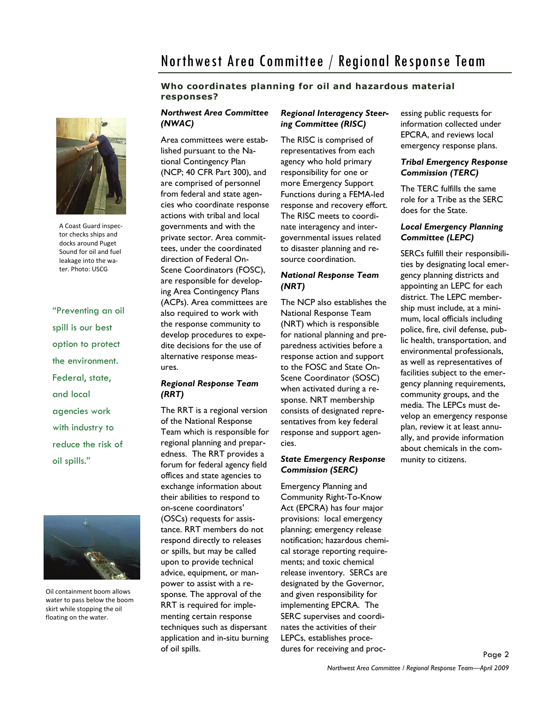# Northwest Area Committee / Regional Response Team

# **Who coordinates planning for oil and hazardous material responses?**



A Coast Guard inspec‐ tor checks ships and docks around Puget Sound for oil and fuel leakage into the wa‐ ter. Photo: USCG

"Preventing an oil spill is our best option to protect the environment. Federal, state, and local agencies work with industry to reduce the risk of oil spills."



Oil containment boom allows water to pass below the boom skirt while stopping the oil floating on the water.

# *Northwest Area Committee (NWAC)*

Area committees were established pursuant to the National Contingency Plan (NCP; 40 CFR Part 300), and are comprised of personnel from federal and state agencies who coordinate response actions with tribal and local governments and with the private sector. Area committees, under the coordinated direction of Federal On-Scene Coordinators (FOSC), are responsible for developing Area Contingency Plans (ACPs). Area committees are also required to work with the response community to develop procedures to expedite decisions for the use of alternative response measures.

## *Regional Response Team (RRT)*

The RRT is a regional version of the National Response Team which is responsible for regional planning and preparedness. The RRT provides a forum for federal agency field offices and state agencies to exchange information about their abilities to respond to on-scene coordinators' (OSCs) requests for assistance. RRT members do not respond directly to releases or spills, but may be called upon to provide technical advice, equipment, or manpower to assist with a response. The approval of the RRT is required for implementing certain response techniques such as dispersant application and in-situ burning of oil spills.

# *Regional Interagency Steering Committee (RISC)*

The RISC is comprised of representatives from each agency who hold primary responsibility for one or more Emergency Support Functions during a FEMA-led response and recovery effort. The RISC meets to coordinate interagency and intergovernmental issues related to disaster planning and resource coordination.

# *National Response Team (NRT)*

The NCP also establishes the National Response Team (NRT) which is responsible for national planning and preparedness activities before a response action and support to the FOSC and State On-Scene Coordinator (SOSC) when activated during a response. NRT membership consists of designated representatives from key federal response and support agencies.

# *State Emergency Response Commission (SERC)*

Emergency Planning and Community Right-To-Know Act (EPCRA) has four major provisions: local emergency planning; emergency release notification; hazardous chemical storage reporting requirements; and toxic chemical release inventory. SERCs are designated by the Governor, and given responsibility for implementing EPCRA. The SERC supervises and coordinates the activities of their LEPCs, establishes procedures for receiving and processing public requests for information collected under EPCRA, and reviews local emergency response plans.

# *Tribal Emergency Response Commission (TERC)*

The TERC fulfills the same role for a Tribe as the SERC does for the State.

# *Local Emergency Planning Committee (LEPC)*

SERCs fulfill their responsibilities by designating local emergency planning districts and appointing an LEPC for each district. The LEPC membership must include, at a minimum, local officials including police, fire, civil defense, public health, transportation, and environmental professionals, as well as representatives of facilities subject to the emergency planning requirements, community groups, and the media. The LEPCs must develop an emergency response plan, review it at least annually, and provide information about chemicals in the community to citizens.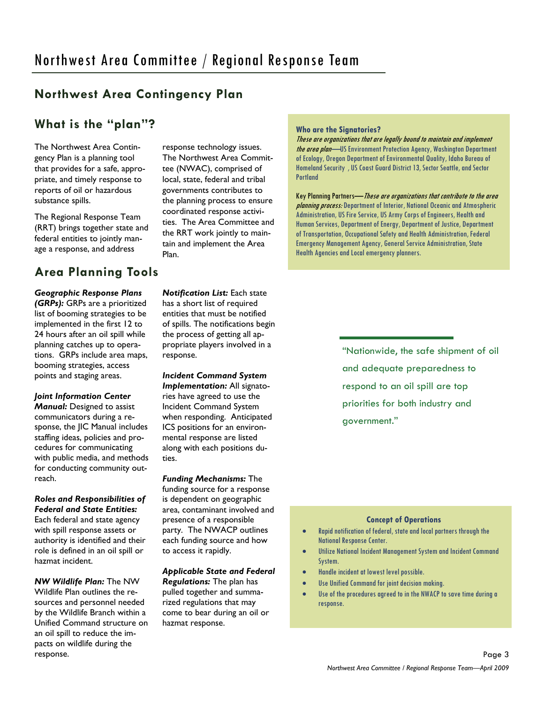# **Northwest Area Contingency Plan**

# **What is the "plan"?**

The Northwest Area Contingency Plan is a planning tool that provides for a safe, appropriate, and timely response to reports of oil or hazardous substance spills.

The Regional Response Team (RRT) brings together state and federal entities to jointly manage a response, and address

# **Area Planning Tools**

# *Geographic Response Plans*

*(GRPs):* GRPs are a prioritized list of booming strategies to be implemented in the first 12 to 24 hours after an oil spill while planning catches up to operations. GRPs include area maps, booming strategies, access points and staging areas.

# *Joint Information Center*

*Manual:* Designed to assist communicators during a response, the IIC Manual includes staffing ideas, policies and procedures for communicating with public media, and methods for conducting community outreach.

*Roles and Responsibilities of Federal and State Entities:*  Each federal and state agency with spill response assets or authority is identified and their role is defined in an oil spill or hazmat incident.

*NW Wildlife Plan:* The NW Wildlife Plan outlines the resources and personnel needed by the Wildlife Branch within a Unified Command structure on an oil spill to reduce the impacts on wildlife during the response.

response technology issues. The Northwest Area Committee (NWAC), comprised of local, state, federal and tribal governments contributes to the planning process to ensure coordinated response activities. The Area Committee and the RRT work jointly to maintain and implement the Area Plan.

*Notification List:* Each state has a short list of required entities that must be notified of spills. The notifications begin the process of getting all appropriate players involved in a response.

# *Incident Command System*

*Implementation:* All signatories have agreed to use the Incident Command System when responding. Anticipated ICS positions for an environmental response are listed along with each positions duties.

*Funding Mechanisms:* The funding source for a response is dependent on geographic area, contaminant involved and presence of a responsible party. The NWACP outlines each funding source and how to access it rapidly.

# *Applicable State and Federal*

*Regulations:* The plan has pulled together and summarized regulations that may come to bear during an oil or hazmat response.

#### **Who are the Signatories?**

These are organizations that are legally bound to maintain and implement the area plan—US Environment Protection Agency, Washington Department of Ecology, Oregon Department of Environmental Quality, Idaho Bureau of Homeland Security , US Coast Guard District 13, Sector Seattle, and Sector Portland

Key Planning Partners—These are organizations that contribute to the area planning process: Department of Interior, National Oceanic and Atmospheric Administration, US Fire Service, US Army Corps of Engineers, Health and Human Services, Department of Energy, Department of Justice, Department of Transportation, Occupational Safety and Health Administration, Federal Emergency Management Agency, General Service Administration, State Health Agencies and Local emergency planners.

> "Nationwide, the safe shipment of oil and adequate preparedness to respond to an oil spill are top priorities for both industry and government."

#### **Concept of Operations**

- Rapid notification of federal, state and local partners through the National Response Center.
- Utilize National Incident Management System and Incident Command System.
- Handle incident at lowest level possible.
- Use Unified Command for joint decision making.
- Use of the procedures agreed to in the NWACP to save time during a response.